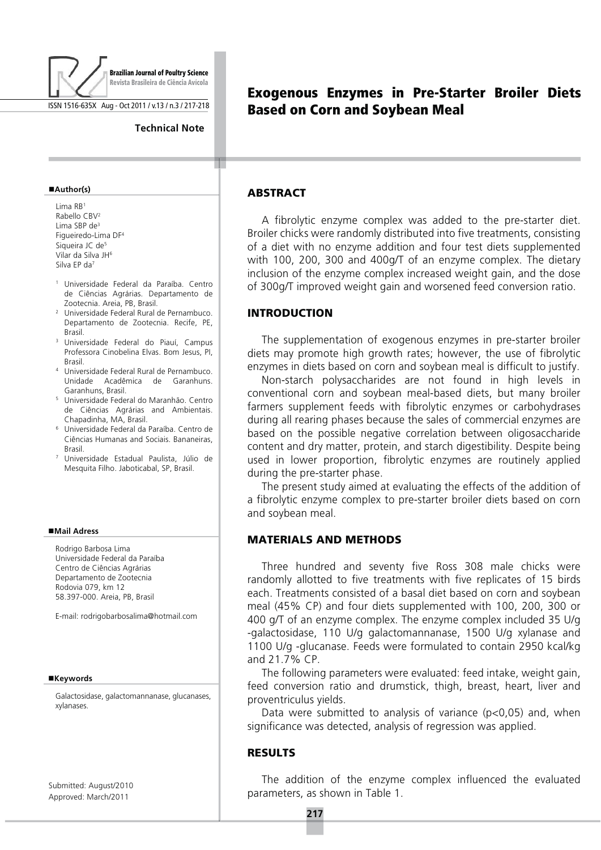

ISSN 1516-635X Aug - Oct 2011 / v.13 / n.3 / 217-218

#### **Technical Note**

#### ■Author(s)

Lima  $RB<sup>1</sup>$ Rabello CBV<sup>2</sup> Lima SBP de<sup>3</sup> Figueiredo-Lima DF<sup>4</sup> Siqueira JC de<sup>5</sup> Vilar da Silva JH<sup>6</sup> Silva FP da<sup>7</sup>

- <sup>1</sup> Universidade Federal da Paraíba. Centro de Ciências Agrárias. Departamento de Zootecnia. Areia, PB, Brasil.
- <sup>2</sup> Universidade Federal Rural de Pernambuco. Departamento de Zootecnia. Recife, PE. **Brasil**
- <sup>3</sup> Universidade Federal do Piauí, Campus Professora Cinobelina Elvas, Bom Jesus, Pl. **Brasil**
- <sup>4</sup> Universidade Federal Rural de Pernambuco. Unidade Acadêmica de Garanhuns. Garanhuns, Brasil
- <sup>5</sup> Universidade Federal do Maranhão. Centro de Ciências Agrárias and Ambientais. Chapadinha, MA, Brasil.
- <sup>6</sup> Universidade Federal da Paraíba. Centro de Ciências Humanas and Sociais. Bananeiras, **Rrasil**
- 7 Universidade Estadual Paulista, Júlio de Mesquita Filho, Jaboticabal, SP, Brasil.

#### ■Mail Adress

Rodrigo Barbosa Lima Universidade Federal da Paraíba Centro de Ciências Agrárias Departamento de Zootecnia Rodovia 079 km 12 58.397-000. Areia, PB, Brasil

E-mail: rodrigobarbosalima@hotmail.com

#### **E**Keywords

Galactosidase, galactomannanase, glucanases, xylanases.

Submitted: August/2010 Approved: March/2011

# **Exogenous Enzymes in Pre-Starter Broiler Diets Based on Corn and Sovbean Meal**

# **ABSTRACT**

A fibrolytic enzyme complex was added to the pre-starter diet. Broiler chicks were randomly distributed into five treatments, consisting of a diet with no enzyme addition and four test diets supplemented with 100, 200, 300 and 400g/T of an enzyme complex. The dietary inclusion of the enzyme complex increased weight gain, and the dose of 300g/T improved weight gain and worsened feed conversion ratio.

#### **INTRODUCTION**

The supplementation of exogenous enzymes in pre-starter broiler diets may promote high growth rates; however, the use of fibrolytic enzymes in diets based on corn and soybean meal is difficult to justify.

Non-starch polysaccharides are not found in high levels in conventional corn and sovbean meal-based diets, but many broiler farmers supplement feeds with fibrolytic enzymes or carbohydrases during all rearing phases because the sales of commercial enzymes are based on the possible negative correlation between oligosaccharide content and dry matter, protein, and starch digestibility. Despite being used in lower proportion, fibrolytic enzymes are routinely applied during the pre-starter phase.

The present study aimed at evaluating the effects of the addition of a fibrolytic enzyme complex to pre-starter broiler diets based on corn and soybean meal.

### **MATERIALS AND METHODS**

Three hundred and seventy five Ross 308 male chicks were randomly allotted to five treatments with five replicates of 15 birds each. Treatments consisted of a basal diet based on corn and soybean meal (45% CP) and four diets supplemented with 100, 200, 300 or 400 g/T of an enzyme complex. The enzyme complex included 35 U/g -galactosidase, 110 U/g galactomannanase, 1500 U/g xylanase and 1100 U/g -glucanase. Feeds were formulated to contain 2950 kcal/kg and 21.7% CP.

The following parameters were evaluated: feed intake, weight gain, feed conversion ratio and drumstick, thigh, breast, heart, liver and proventriculus vields.

Data were submitted to analysis of variance (p<0,05) and, when significance was detected, analysis of regression was applied.

### **RESULTS**

The addition of the enzyme complex influenced the evaluated parameters, as shown in Table 1.